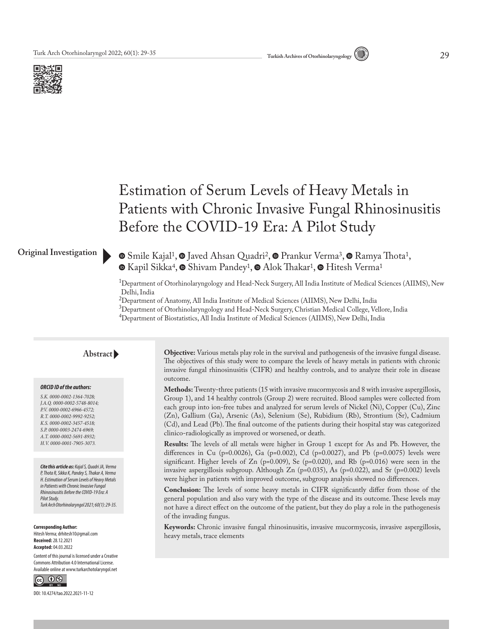



# Estimation of Serum Levels of Heavy Metals in Patients with Chronic Invasive Fungal Rhinosinusitis Before the COVID-19 Era: A Pilot Study

#### **Original Investigation**

**■**Smile Kajal<sup>1</sup>, ■ Javed Ahsan Quadri<sup>2</sup>, ■ Prankur Verma<sup>3</sup>, ■ Ramya Thota<sup>1</sup>,  $\bullet$ Kapil Sikka<sup>4</sup>,  $\bullet$  Shivam Pandey<sup>1</sup>,  $\bullet$  Alok Thakar<sup>1</sup>,  $\bullet$  Hitesh Verma<sup>1</sup>

1Department of Otorhinolaryngology and Head-Neck Surgery, All India Institute of Medical Sciences (AIIMS), New Delhi, India

<sup>2</sup>Department of Anatomy, All India Institute of Medical Sciences (AIIMS), New Delhi, India

 $^3$ Department of Otorhinolaryngology and Head-Neck Surgery, Christian Medical College, Vellore, India

 $^4$ Department of Biostatistics, All India Institute of Medical Sciences (AIIMS), New Delhi, India

#### **Abstract**

#### *ORCID ID of the authors:*

*S.K. 0000-0002-1364-7028; J.A.Q. 0000-0002-5748-8014; P.V. 0000-0002-6966-4572; R.T. 0000-0002-9992-9252; K.S. 0000-0002-3457-4518; S.P. 0000-0003-2474-6969; A.T. 0000-0002-5691-8932; H.V. 0000-0001-7905-3073.*

*Cite this article as: Kajal S, Quadri JA, Verma P, Thota R, Sikka K, Pandey S, Thakar A, Verma H. Estimation of Serum Levels of Heavy Metals in Patients with Chronic Invasive Fungal Rhinosinusitis Before the COVID-19 Era: A Pilot Study. Turk Arch Otorhinolaryngol 2021; 60(1): 29-35.*

#### **Corresponding Author:**  Hitesh Verma; drhitesh10@gmail.com

**Received:** 28.12.2021 **Accepted:** 04.03.2022

Content of this journal is licensed under a Creative Commons Attribution 4.0 International License. Available online at www.turkarchotolaryngol.net

 $\circledcirc$   $\circledcirc$ 

DOI: 10.4274/tao.2022.2021-11-12

**Objective:** Various metals play role in the survival and pathogenesis of the invasive fungal disease. The objectives of this study were to compare the levels of heavy metals in patients with chronic invasive fungal rhinosinusitis (CIFR) and healthy controls, and to analyze their role in disease outcome.

**Methods:** Twenty-three patients (15 with invasive mucormycosis and 8 with invasive aspergillosis, Group 1), and 14 healthy controls (Group 2) were recruited. Blood samples were collected from each group into ion-free tubes and analyzed for serum levels of Nickel (Ni), Copper (Cu), Zinc (Zn), Gallium (Ga), Arsenic (As), Selenium (Se), Rubidium (Rb), Strontium (Sr), Cadmium (Cd), and Lead (Pb). The final outcome of the patients during their hospital stay was categorized clinico-radiologically as improved or worsened, or death.

**Results:** The levels of all metals were higher in Group 1 except for As and Pb. However, the differences in Cu (p=0.0026), Ga (p=0.002), Cd (p=0.0027), and Pb (p=0.0075) levels were significant. Higher levels of  $Zn$  (p=0.009), Se (p=0.020), and Rb (p=0.016) were seen in the invasive aspergillosis subgroup. Although Zn (p=0.035), As (p=0.022), and Sr (p=0.002) levels were higher in patients with improved outcome, subgroup analysis showed no differences.

**Conclusion:** The levels of some heavy metals in CIFR significantly differ from those of the general population and also vary with the type of the disease and its outcome. These levels may not have a direct effect on the outcome of the patient, but they do play a role in the pathogenesis of the invading fungus.

**Keywords:** Chronic invasive fungal rhinosinusitis, invasive mucormycosis, invasive aspergillosis, heavy metals, trace elements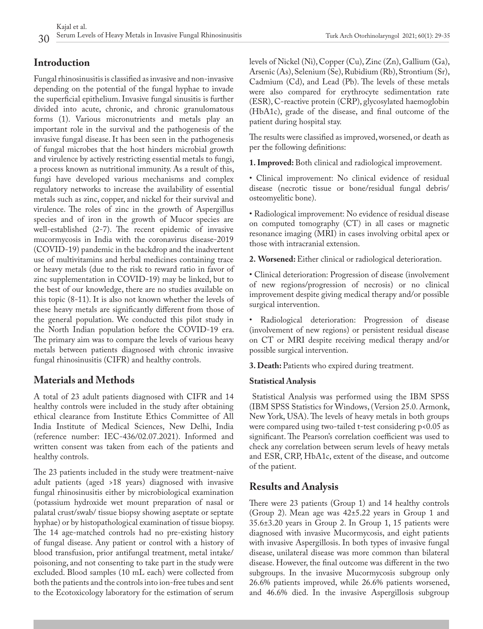# **Introduction**

Fungal rhinosinusitis is classified as invasive and non-invasive depending on the potential of the fungal hyphae to invade the superficial epithelium. Invasive fungal sinusitis is further divided into acute, chronic, and chronic granulomatous forms (1). Various micronutrients and metals play an important role in the survival and the pathogenesis of the invasive fungal disease. It has been seen in the pathogenesis of fungal microbes that the host hinders microbial growth and virulence by actively restricting essential metals to fungi, a process known as nutritional immunity. As a result of this, fungi have developed various mechanisms and complex regulatory networks to increase the availability of essential metals such as zinc, copper, and nickel for their survival and virulence. The roles of zinc in the growth of Aspergillus species and of iron in the growth of Mucor species are well-established (2-7). The recent epidemic of invasive mucormycosis in India with the coronavirus disease-2019 (COVID-19) pandemic in the backdrop and the inadvertent use of multivitamins and herbal medicines containing trace or heavy metals (due to the risk to reward ratio in favor of zinc supplementation in COVID-19) may be linked, but to the best of our knowledge, there are no studies available on this topic (8-11). It is also not known whether the levels of these heavy metals are significantly different from those of the general population. We conducted this pilot study in the North Indian population before the COVID-19 era. The primary aim was to compare the levels of various heavy metals between patients diagnosed with chronic invasive fungal rhinosinusitis (CIFR) and healthy controls.

# **Materials and Methods**

A total of 23 adult patients diagnosed with CIFR and 14 healthy controls were included in the study after obtaining ethical clearance from Institute Ethics Committee of All India Institute of Medical Sciences, New Delhi, India (reference number: IEC-436/02.07.2021). Informed and written consent was taken from each of the patients and healthy controls.

The 23 patients included in the study were treatment-naive adult patients (aged >18 years) diagnosed with invasive fungal rhinosinusitis either by microbiological examination (potassium hydroxide wet mount preparation of nasal or palatal crust/swab/ tissue biopsy showing aseptate or septate hyphae) or by histopathological examination of tissue biopsy. The 14 age-matched controls had no pre-existing history of fungal disease. Any patient or control with a history of blood transfusion, prior antifungal treatment, metal intake/ poisoning, and not consenting to take part in the study were excluded. Blood samples (10 mL each) were collected from both the patients and the controls into ion-free tubes and sent to the Ecotoxicology laboratory for the estimation of serum

levels of Nickel (Ni), Copper (Cu), Zinc (Zn), Gallium (Ga), Arsenic (As), Selenium (Se), Rubidium (Rb), Strontium (Sr), Cadmium (Cd), and Lead (Pb). The levels of these metals were also compared for erythrocyte sedimentation rate (ESR), C-reactive protein (CRP), glycosylated haemoglobin (HbA1c), grade of the disease, and final outcome of the patient during hospital stay.

The results were classified as improved, worsened, or death as per the following definitions:

**1. Improved:** Both clinical and radiological improvement.

• Clinical improvement: No clinical evidence of residual disease (necrotic tissue or bone/residual fungal debris/ osteomyelitic bone).

• Radiological improvement: No evidence of residual disease on computed tomography (CT) in all cases or magnetic resonance imaging (MRI) in cases involving orbital apex or those with intracranial extension.

**2. Worsened:** Either clinical or radiological deterioration.

• Clinical deterioration: Progression of disease (involvement of new regions/progression of necrosis) or no clinical improvement despite giving medical therapy and/or possible surgical intervention.

• Radiological deterioration: Progression of disease (involvement of new regions) or persistent residual disease on CT or MRI despite receiving medical therapy and/or possible surgical intervention.

**3. Death:** Patients who expired during treatment.

### **Statistical Analysis**

Statistical Analysis was performed using the IBM SPSS (IBM SPSS Statistics for Windows, (Version 25.0. Armonk, New York, USA). The levels of heavy metals in both groups were compared using two-tailed t-test considering p<0.05 as significant. The Pearson's correlation coefficient was used to check any correlation between serum levels of heavy metals and ESR, CRP, HbA1c, extent of the disease, and outcome of the patient.

# **Results and Analysis**

There were 23 patients (Group 1) and 14 healthy controls (Group 2). Mean age was 42±5.22 years in Group 1 and 35.6±3.20 years in Group 2. In Group 1, 15 patients were diagnosed with invasive Mucormycosis, and eight patients with invasive Aspergillosis. In both types of invasive fungal disease, unilateral disease was more common than bilateral disease. However, the final outcome was different in the two subgroups. In the invasive Mucormycosis subgroup only 26.6% patients improved, while 26.6% patients worsened, and 46.6% died. In the invasive Aspergillosis subgroup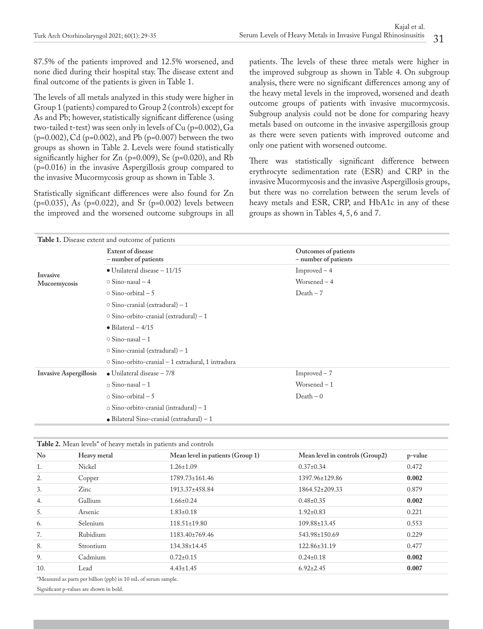87.5% of the patients improved and 12.5% worsened, and none died during their hospital stay. The disease extent and final outcome of the patients is given in Table 1.

The levels of all metals analyzed in this study were higher in Group 1 (patients) compared to Group 2 (controls) except for As and Pb; however, statistically significant difference (using two-tailed t-test) was seen only in levels of Cu (p=0.002), Ga (p=0.002), Cd (p=0.002), and Pb (p=0.007) between the two groups as shown in Table 2. Levels were found statistically significantly higher for Zn (p=0.009), Se (p=0.020), and Rb (p=0.016) in the invasive Aspergillosis group compared to the invasive Mucormycosis group as shown in Table 3.

Statistically significant differences were also found for Zn (p=0.035), As (p=0.022), and Sr (p=0.002) levels between the improved and the worsened outcome subgroups in all patients. The levels of these three metals were higher in the improved subgroup as shown in Table 4. On subgroup analysis, there were no significant differences among any of the heavy metal levels in the improved, worsened and death outcome groups of patients with invasive mucormycosis. Subgroup analysis could not be done for comparing heavy metals based on outcome in the invasive aspergillosis group as there were seven patients with improved outcome and only one patient with worsened outcome.

There was statistically significant difference between erythrocyte sedimentation rate (ESR) and CRP in the invasive Mucormycosis and the invasive Aspergillosis groups, but there was no correlation between the serum levels of heavy metals and ESR, CRP, and HbA1c in any of these groups as shown in Tables 4, 5, 6 and 7.

| <b>Table 1.</b> Disease extent and outcome of patients |                                                         |                                              |  |
|--------------------------------------------------------|---------------------------------------------------------|----------------------------------------------|--|
|                                                        | <b>Extent of disease</b><br>- number of patients        | Outcomes of patients<br>- number of patients |  |
| Invasive                                               | $\bullet$ Unilateral disease $-11/15$                   | $Improved-4$                                 |  |
| Mucormycosis                                           | $\circ$ Sino-nasal – 4                                  | Worsened $-4$                                |  |
|                                                        | $\circ$ Sino-orbital – 5                                | $Death - 7$                                  |  |
|                                                        | $\circ$ Sino-cranial (extradural) – 1                   |                                              |  |
|                                                        | $\circ$ Sino-orbito-cranial (extradural) – 1            |                                              |  |
|                                                        | $\bullet$ Bilateral - 4/15                              |                                              |  |
|                                                        | $\circ$ Sino-nasal – 1                                  |                                              |  |
|                                                        | $\circ$ Sino-cranial (extradural) – 1                   |                                              |  |
|                                                        | $\circ$ Sino-orbito-cranial – 1 extradural, 1 intradura |                                              |  |
| <b>Invasive Aspergillosis</b>                          | $\bullet$ Unilateral disease $-7/8$                     | $Improved - 7$                               |  |
|                                                        | $\circ$ Sino-nasal – 1                                  | Worsened $-1$                                |  |
|                                                        | $\circ$ Sino-orbital – 5                                | $Death - 0$                                  |  |
|                                                        | $\circ$ Sino-orbito-cranial (intradural) – 1            |                                              |  |
|                                                        | $\bullet$ Bilateral Sino-cranial (extradural) - 1       |                                              |  |

| Table 2. Mean levels* of heavy metals in patients and controls |               |                                  |                                 |         |
|----------------------------------------------------------------|---------------|----------------------------------|---------------------------------|---------|
| N <sub>o</sub>                                                 | Heavy metal   | Mean level in patients (Group 1) | Mean level in controls (Group2) | p-value |
| 1.                                                             | <b>Nickel</b> | $1.26 \pm 1.09$                  | $0.37 \pm 0.34$                 | 0.472   |
| 2.                                                             | Copper        | 1789.73±161.46                   | 1397.96±129.86                  | 0.002   |
| 3.                                                             | $\rm Zinc$    | 1913.37±458.84                   | 1864.52±209.33                  | 0.879   |
| 4.                                                             | Gallium       | $1.66 \pm 0.24$                  | $0.48 \pm 0.35$                 | 0.002   |
| 5.                                                             | Arsenic       | $1.83 \pm 0.18$                  | $1.92 \pm 0.83$                 | 0.221   |
| 6.                                                             | Selenium      | $118.51 \pm 19.80$               | 109.88±13.45                    | 0.553   |
| 7.                                                             | Rubidium      | 1183.40±769.46                   | 543.98±150.69                   | 0.229   |
| 8.                                                             | Strontium     | 134.38±14.45                     | 122.86±31.19                    | 0.477   |
| 9.                                                             | Cadmium       | $0.72 \pm 0.15$                  | $0.24 \pm 0.18$                 | 0.002   |
| 10.                                                            | Lead          | $4.43 \pm 1.45$                  | $6.92 \pm 2.45$                 | 0.007   |

\*Measured as parts per billion (ppb) in 10 mL of serum sample.

Significant p-values are shown in bold.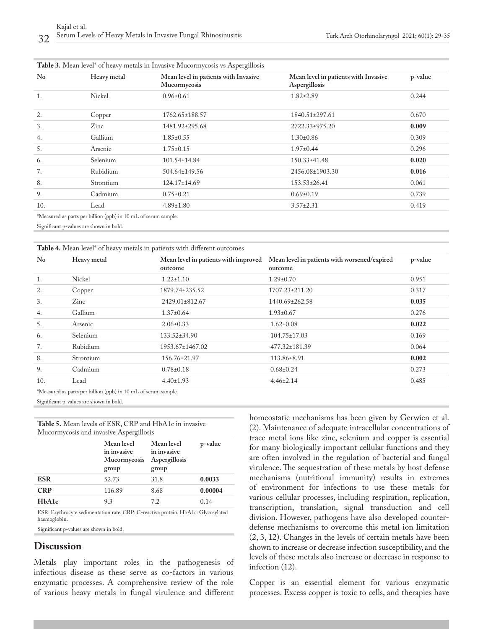| $\rm No$ | Heavy metal | Mean level in patients with Invasive<br>Mucormycosis | Mean level in patients with Invasive<br>Aspergillosis | p-value |
|----------|-------------|------------------------------------------------------|-------------------------------------------------------|---------|
| 1.       | Nickel      | $0.96 \pm 0.61$                                      | $1.82 \pm 2.89$                                       | 0.244   |
| 2.       | Copper      | 1762.65±188.57                                       | 1840.51±297.61                                        | 0.670   |
| 3.       | Zinc        | 1481.92±295.68                                       | 2722.33±975.20                                        | 0.009   |
| 4.       | Gallium     | $1.85 \pm 0.55$                                      | $1.30 \pm 0.86$                                       | 0.309   |
| 5.       | Arsenic     | $1.75 \pm 0.15$                                      | $1.97 \pm 0.44$                                       | 0.296   |
| 6.       | Selenium    | $101.54 \pm 14.84$                                   | $150.33 \pm 41.48$                                    | 0.020   |
| 7.       | Rubidium    | 504.64±149.56                                        | 2456.08±1903.30                                       | 0.016   |
| 8.       | Strontium   | $124.17 \pm 14.69$                                   | $153.53 \pm 26.41$                                    | 0.061   |
| 9.       | Cadmium     | $0.75 \pm 0.21$                                      | $0.69 \pm 0.19$                                       | 0.739   |
| 10.      | Lead        | $4.89 \pm 1.80$                                      | $3.57 \pm 2.31$                                       | 0.419   |

Significant p-values are shown in bold.

| <b>Table 4.</b> Mean level <sup>*</sup> of heavy metals in patients with different outcomes |  |
|---------------------------------------------------------------------------------------------|--|
|---------------------------------------------------------------------------------------------|--|

| $\rm No$ | Heavy metal                                                    | Mean level in patients with improved<br>outcome | Mean level in patients with worsened/expired<br>outcome | p-value |
|----------|----------------------------------------------------------------|-------------------------------------------------|---------------------------------------------------------|---------|
| 1.       | Nickel                                                         | $1.22 \pm 1.10$                                 | $1.29 \pm 0.70$                                         | 0.951   |
| 2.       | Copper                                                         | 1879.74±235.52                                  | 1707.23±211.20                                          | 0.317   |
| 3.       | Zinc                                                           | 2429.01±812.67                                  | 1440.69±262.58                                          | 0.035   |
| 4.       | Gallium                                                        | $1.37 \pm 0.64$                                 | $1.93 \pm 0.67$                                         | 0.276   |
| 5.       | Arsenic                                                        | $2.06 \pm 0.33$                                 | $1.62 \pm 0.08$                                         | 0.022   |
| 6.       | Selenium                                                       | $133.52 \pm 34.90$                              | $104.75 \pm 17.03$                                      | 0.169   |
| 7.       | Rubidium                                                       | 1953.67±1467.02                                 | 477.32±181.39                                           | 0.064   |
| 8.       | Strontium                                                      | $156.76 \pm 21.97$                              | 113.86±8.91                                             | 0.002   |
| 9.       | Cadmium                                                        | $0.78 \pm 0.18$                                 | $0.68 \pm 0.24$                                         | 0.273   |
| 10.      | Lead                                                           | $4.40 \pm 1.93$                                 | $4.46 \pm 2.14$                                         | 0.485   |
|          | *Measured as parts per billion (ppb) in 10 mL of serum sample. |                                                 |                                                         |         |

Significant p-values are shown in bold.

**Table 5.** Mean levels of ESR, CRP and HbA1c in invasive Mucormycosis and invasive Aspergillosis

|                                 | Mean level<br>in invasive<br><b>Mucormycosis</b><br>group | Mean level<br>in invasive<br>Aspergillosis<br>group | p-value |
|---------------------------------|-----------------------------------------------------------|-----------------------------------------------------|---------|
| <b>ESR</b>                      | 52.73                                                     | 31.8                                                | 0.0033  |
| <b>CRP</b>                      | 116.89                                                    | 8.68                                                | 0.00004 |
| H <sub>b</sub> A <sub>1</sub> c | 9.3                                                       | 7.2                                                 | 0.14    |
|                                 |                                                           |                                                     |         |

ESR: Erythrocyte sedimentation rate, CRP: C-reactive protein, HbA1c: Glycosylated haemoglobin.

Significant p-values are shown in bold.

### **Discussion**

Metals play important roles in the pathogenesis of infectious disease as these serve as co-factors in various enzymatic processes. A comprehensive review of the role of various heavy metals in fungal virulence and different

homeostatic mechanisms has been given by Gerwien et al. (2). Maintenance of adequate intracellular concentrations of trace metal ions like zinc, selenium and copper is essential for many biologically important cellular functions and they are often involved in the regulation of bacterial and fungal virulence. The sequestration of these metals by host defense mechanisms (nutritional immunity) results in extremes of environment for infections to use these metals for various cellular processes, including respiration, replication, transcription, translation, signal transduction and cell division. However, pathogens have also developed counterdefense mechanisms to overcome this metal ion limitation (2, 3, 12). Changes in the levels of certain metals have been shown to increase or decrease infection susceptibility, and the levels of these metals also increase or decrease in response to infection (12).

Copper is an essential element for various enzymatic processes. Excess copper is toxic to cells, and therapies have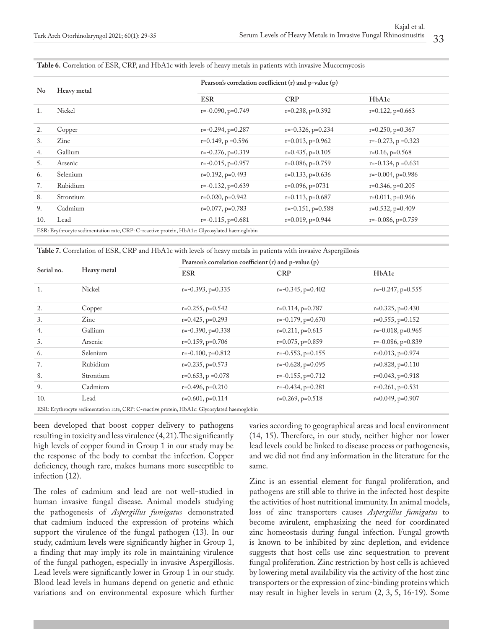#### **Table 6.** Correlation of ESR, CRP, and HbA1c with levels of heavy metals in patients with invasive Mucormycosis

| No  | Heavy metal                                                                                   | Pearson's correlation coefficient $(r)$ and $p$ -value $(p)$ |                        |                          |
|-----|-----------------------------------------------------------------------------------------------|--------------------------------------------------------------|------------------------|--------------------------|
|     |                                                                                               | <b>ESR</b>                                                   | <b>CRP</b>             | HbA1c                    |
| 1.  | Nickel                                                                                        | $r=-0.090$ , $p=0.749$                                       | $r=0.238$ , $p=0.392$  | $r=0.122$ , $p=0.663$    |
| 2.  | Copper                                                                                        | $r=-0.294$ , $p=0.287$                                       | $r=-0.326$ , $p=0.234$ | $r=0.250$ , $p=0.367$    |
| 3.  | Zinc                                                                                          | $r=0.149$ , $p=0.596$                                        | $r=0.013$ , $p=0.962$  | $r=-0.273$ , $p = 0.323$ |
| 4.  | Gallium                                                                                       | $r=-0.276$ , $p=0.319$                                       | $r=0.435$ , $p=0.105$  | $r=0.16$ , $p=0.568$     |
| 5.  | Arsenic                                                                                       | $r=-0.015$ , $p=0.957$                                       | $r=0.086$ , $p=0.759$  | $r=-0.134$ , $p=0.631$   |
| 6.  | Selenium                                                                                      | $r=0.192$ , $p=0.493$                                        | $r=0.133$ , $p=0.636$  | $r=-0.004$ , $p=0.986$   |
| 7.  | Rubidium                                                                                      | $r=-0.132$ , $p=0.639$                                       | $r=0.096$ , $p=0731$   | $r=0.346$ , $p=0.205$    |
| 8.  | Strontium                                                                                     | $r=0.020$ , $p=0.942$                                        | $r=0.113$ , $p=0.687$  | $r=0.011, p=0.966$       |
| 9.  | Cadmium                                                                                       | $r=0.077$ , $p=0.783$                                        | $r=-0.151$ , p=0.588   | $r=0.532$ , $p=0.409$    |
| 10. | Lead                                                                                          | $r=-0.115$ , $p=0.681$                                       | $r=0.019$ , $p=0.944$  | $r=-0.086$ , $p=0.759$   |
|     | ESR: Erythrocyte sedimentation rate, CRP: C-reactive protein, HbA1c: Glycosylated haemoglobin |                                                              |                        |                          |

| Table 7. Correlation of ESR, CRP and HbA1c with levels of heavy metals in patients with invasive Aspergillosis |  |
|----------------------------------------------------------------------------------------------------------------|--|
|----------------------------------------------------------------------------------------------------------------|--|

|            |                      |                        | Pearson's correlation coefficient $(r)$ and p-value $(p)$ |                        |  |
|------------|----------------------|------------------------|-----------------------------------------------------------|------------------------|--|
| Serial no. | Heavy metal          | <b>ESR</b>             | <b>CRP</b>                                                | HbA1c                  |  |
| 1.         | Nickel               | $r=-0.393, p=0.335$    | $r=-0.345$ , $p=0.402$                                    | $r=-0.247$ , $p=0.555$ |  |
| 2.         | Copper               | $r=0.255$ , p=0.542    | $r=0.114$ , $p=0.787$                                     | $r=0.325$ , $p=0.430$  |  |
| 3.         | Zinc                 | $r=0.425$ , $p=0.293$  | $r=-0.179$ , $p=0.670$                                    | $r=0.555$ , p=0.152    |  |
| 4.         | Gallium              | $r=-0.390$ , $p=0.338$ | $r=0.211$ , $p=0.615$                                     | $r=-0.018$ , $p=0.965$ |  |
| 5.         | Arsenic              | $r=0.159$ , $p=0.706$  | $r=0.075$ , p=0.859                                       | $r=-0.086$ , $p=0.839$ |  |
| 6.         | Selenium             | $r=-0.100$ , $p=0.812$ | $r=-0.553, p=0.155$                                       | $r=0.013$ , $p=0.974$  |  |
| 7.         | Rubidium             | $r=0.235$ , $p=0.573$  | $r=-0.628$ , $p=0.095$                                    | $r=0.828$ , $p=0.110$  |  |
| 8.         | Strontium            | $r=0.653$ , $p=0.078$  | $r=-0.155$ , $p=0.712$                                    | $r=0.043$ , $p=0.918$  |  |
| 9.         | Cadmium              | $r=0.496$ , $p=0.210$  | $r=-0.434$ , $p=0.281$                                    | $r=0.261$ , $p=0.531$  |  |
| 10.        | Lead                 | $r=0.601, p=0.114$     | $r=0.269$ , $p=0.518$                                     | $r=0.049$ , $p=0.907$  |  |
| $PCD = 1$  | $\cap$ $\cap$ $\cap$ |                        |                                                           |                        |  |

ESR: Erythrocyte sedimentation rate, CRP: C-reactive protein, HbA1c: Glycosylated haemoglobin

been developed that boost copper delivery to pathogens resulting in toxicity and less virulence (4, 21). The significantly high levels of copper found in Group 1 in our study may be the response of the body to combat the infection. Copper deficiency, though rare, makes humans more susceptible to infection (12).

The roles of cadmium and lead are not well-studied in human invasive fungal disease. Animal models studying the pathogenesis of *Aspergillus fumigatus* demonstrated that cadmium induced the expression of proteins which support the virulence of the fungal pathogen (13). In our study, cadmium levels were significantly higher in Group 1, a finding that may imply its role in maintaining virulence of the fungal pathogen, especially in invasive Aspergillosis. Lead levels were significantly lower in Group 1 in our study. Blood lead levels in humans depend on genetic and ethnic variations and on environmental exposure which further

varies according to geographical areas and local environment (14, 15). Therefore, in our study, neither higher nor lower lead levels could be linked to disease process or pathogenesis, and we did not find any information in the literature for the same.

Zinc is an essential element for fungal proliferation, and pathogens are still able to thrive in the infected host despite the activities of host nutritional immunity. In animal models, loss of zinc transporters causes *Aspergillus fumigatus* to become avirulent, emphasizing the need for coordinated zinc homeostasis during fungal infection. Fungal growth is known to be inhibited by zinc depletion, and evidence suggests that host cells use zinc sequestration to prevent fungal proliferation. Zinc restriction by host cells is achieved by lowering metal availability via the activity of the host zinc transporters or the expression of zinc-binding proteins which may result in higher levels in serum (2, 3, 5, 16-19). Some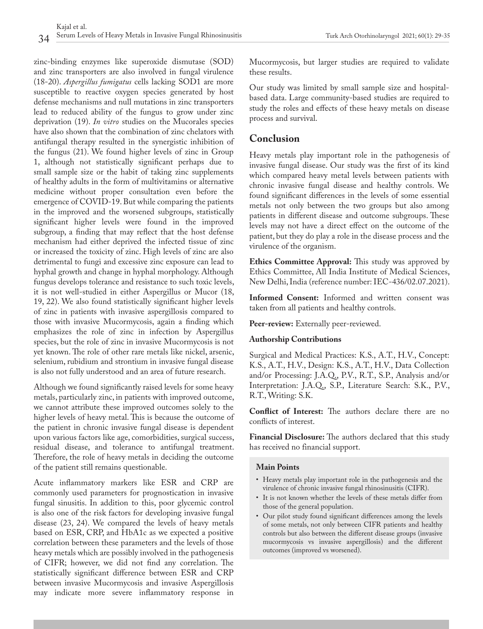zinc-binding enzymes like superoxide dismutase (SOD) and zinc transporters are also involved in fungal virulence (18-20). *Aspergillus fumigatus* cells lacking SOD1 are more susceptible to reactive oxygen species generated by host defense mechanisms and null mutations in zinc transporters lead to reduced ability of the fungus to grow under zinc deprivation (19). *In vitro* studies on the Mucorales species have also shown that the combination of zinc chelators with antifungal therapy resulted in the synergistic inhibition of the fungus (21). We found higher levels of zinc in Group 1, although not statistically significant perhaps due to small sample size or the habit of taking zinc supplements of healthy adults in the form of multivitamins or alternative medicine without proper consultation even before the emergence of COVID-19. But while comparing the patients in the improved and the worsened subgroups, statistically significant higher levels were found in the improved subgroup, a finding that may reflect that the host defense mechanism had either deprived the infected tissue of zinc or increased the toxicity of zinc. High levels of zinc are also detrimental to fungi and excessive zinc exposure can lead to hyphal growth and change in hyphal morphology. Although fungus develops tolerance and resistance to such toxic levels, it is not well-studied in either Aspergillus or Mucor (18, 19, 22). We also found statistically significant higher levels of zinc in patients with invasive aspergillosis compared to those with invasive Mucormycosis, again a finding which emphasizes the role of zinc in infection by Aspergillus species, but the role of zinc in invasive Mucormycosis is not yet known. The role of other rare metals like nickel, arsenic, selenium, rubidium and strontium in invasive fungal disease is also not fully understood and an area of future research.

Although we found significantly raised levels for some heavy metals, particularly zinc, in patients with improved outcome, we cannot attribute these improved outcomes solely to the higher levels of heavy metal. This is because the outcome of the patient in chronic invasive fungal disease is dependent upon various factors like age, comorbidities, surgical success, residual disease, and tolerance to antifungal treatment. Therefore, the role of heavy metals in deciding the outcome of the patient still remains questionable.

Acute inflammatory markers like ESR and CRP are commonly used parameters for prognostication in invasive fungal sinusitis. In addition to this, poor glycemic control is also one of the risk factors for developing invasive fungal disease (23, 24). We compared the levels of heavy metals based on ESR, CRP, and HbA1c as we expected a positive correlation between these parameters and the levels of those heavy metals which are possibly involved in the pathogenesis of CIFR; however, we did not find any correlation. The statistically significant difference between ESR and CRP between invasive Mucormycosis and invasive Aspergillosis may indicate more severe inflammatory response in

Mucormycosis, but larger studies are required to validate these results.

Our study was limited by small sample size and hospitalbased data. Large community-based studies are required to study the roles and effects of these heavy metals on disease process and survival.

## **Conclusion**

Heavy metals play important role in the pathogenesis of invasive fungal disease. Our study was the first of its kind which compared heavy metal levels between patients with chronic invasive fungal disease and healthy controls. We found significant differences in the levels of some essential metals not only between the two groups but also among patients in different disease and outcome subgroups. These levels may not have a direct effect on the outcome of the patient, but they do play a role in the disease process and the virulence of the organism.

**Ethics Committee Approval:** This study was approved by Ethics Committee, All India Institute of Medical Sciences, New Delhi, India (reference number: IEC-436/02.07.2021).

**Informed Consent:** Informed and written consent was taken from all patients and healthy controls.

**Peer-review:** Externally peer-reviewed.

### **Authorship Contributions**

Surgical and Medical Practices: K.S., A.T., H.V., Concept: K.S., A.T., H.V., Design: K.S., A.T., H.V., Data Collection and/or Processing: J.A.Q., P.V., R.T., S.P., Analysis and/or Interpretation: J.A.Q., S.P., Literature Search: S.K., P.V., R.T., Writing: S.K.

**Conflict of Interest:** The authors declare there are no conflicts of interest.

**Financial Disclosure:** The authors declared that this study has received no financial support.

### **Main Points**

- Heavy metals play important role in the pathogenesis and the virulence of chronic invasive fungal rhinosinusitis (CIFR).
- It is not known whether the levels of these metals differ from those of the general population.
- Our pilot study found significant differences among the levels of some metals, not only between CIFR patients and healthy controls but also between the different disease groups (invasive mucormycosis vs invasive aspergillosis) and the different outcomes (improved vs worsened).